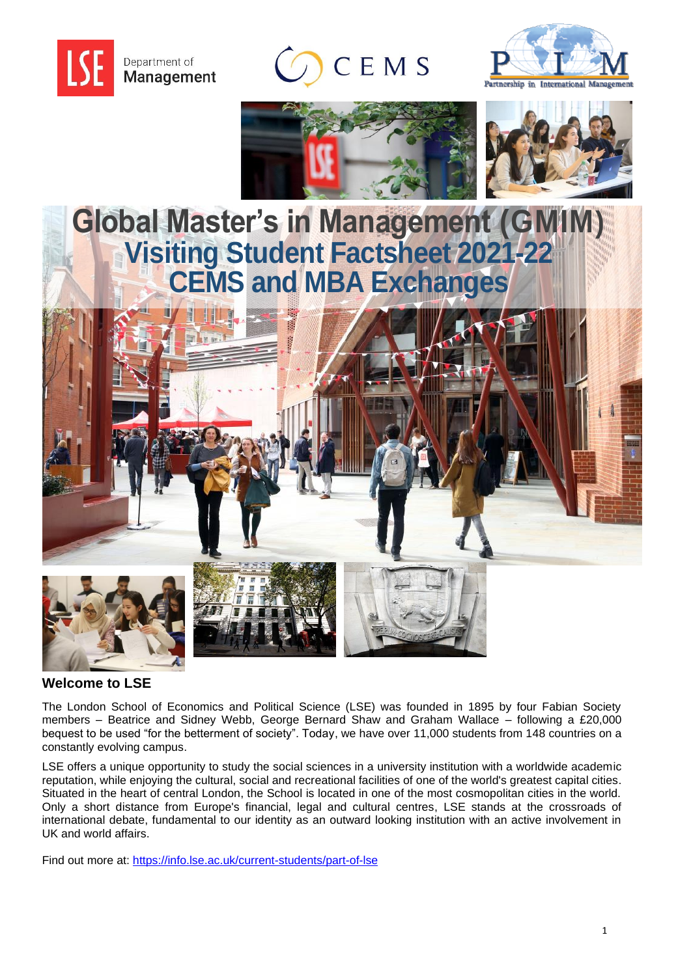









## **Global Master's in Management (GMIM) Visiting Student Factsheet 2021-22 CEMS and MBA Exchanges**



## **Welcome to LSE**

The London School of Economics and Political Science (LSE) was founded in 1895 by four Fabian Society members – Beatrice and Sidney Webb, George Bernard Shaw and Graham Wallace – following a £20,000 bequest to be used "for the betterment of society". Today, we have over 11,000 students from 148 countries on a constantly evolving campus.

LSE offers a unique opportunity to study the social sciences in a university institution with a worldwide academic reputation, while enjoying the cultural, social and recreational facilities of one of the world's greatest capital cities. Situated in the heart of central London, the School is located in one of the most cosmopolitan cities in the world. Only a short distance from Europe's financial, legal and cultural centres, LSE stands at the crossroads of international debate, fundamental to our identity as an outward looking institution with an active involvement in UK and world affairs.

Find out more at:<https://info.lse.ac.uk/current-students/part-of-lse>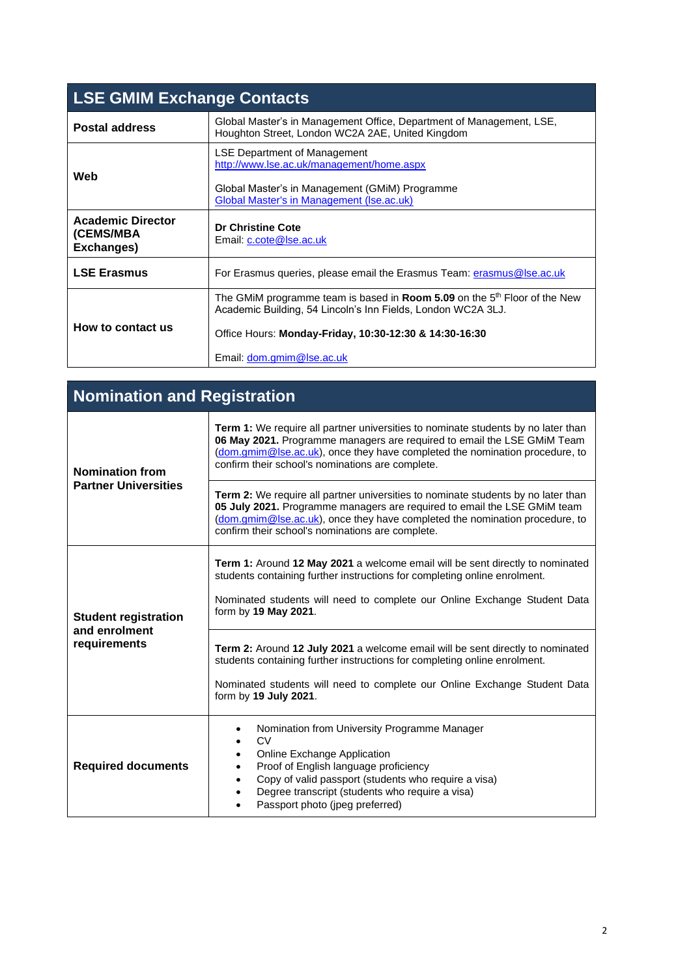| <b>LSE GMIM Exchange Contacts</b>                   |                                                                                                                                                                                                                                                     |
|-----------------------------------------------------|-----------------------------------------------------------------------------------------------------------------------------------------------------------------------------------------------------------------------------------------------------|
| <b>Postal address</b>                               | Global Master's in Management Office, Department of Management, LSE,<br>Houghton Street, London WC2A 2AE, United Kingdom                                                                                                                            |
| Web                                                 | <b>LSE Department of Management</b><br>http://www.lse.ac.uk/management/home.aspx<br>Global Master's in Management (GMIM) Programme<br><b>Global Master's in Management (Ise.ac.uk)</b>                                                              |
| <b>Academic Director</b><br>(CEMS/MBA<br>Exchanges) | <b>Dr Christine Cote</b><br>Email: c.cote@lse.ac.uk                                                                                                                                                                                                 |
| <b>LSE Erasmus</b>                                  | For Erasmus queries, please email the Erasmus Team: erasmus@lse.ac.uk                                                                                                                                                                               |
| How to contact us                                   | The GMiM programme team is based in <b>Room 5.09</b> on the 5 <sup>th</sup> Floor of the New<br>Academic Building, 54 Lincoln's Inn Fields, London WC2A 3LJ.<br>Office Hours: Monday-Friday, 10:30-12:30 & 14:30-16:30<br>Email: dom.gmim@lse.ac.uk |

| <b>Nomination and Registration</b>                           |                                                                                                                                                                                                                                                                                                         |  |
|--------------------------------------------------------------|---------------------------------------------------------------------------------------------------------------------------------------------------------------------------------------------------------------------------------------------------------------------------------------------------------|--|
| <b>Nomination from</b><br><b>Partner Universities</b>        | <b>Term 1:</b> We require all partner universities to nominate students by no later than<br>06 May 2021. Programme managers are required to email the LSE GMiM Team<br>(dom.gmim@lse.ac.uk), once they have completed the nomination procedure, to<br>confirm their school's nominations are complete.  |  |
|                                                              | <b>Term 2:</b> We require all partner universities to nominate students by no later than<br>05 July 2021. Programme managers are required to email the LSE GMiM team<br>(dom.gmim@lse.ac.uk), once they have completed the nomination procedure, to<br>confirm their school's nominations are complete. |  |
| <b>Student registration</b><br>and enrolment<br>requirements | <b>Term 1:</b> Around 12 May 2021 a welcome email will be sent directly to nominated<br>students containing further instructions for completing online enrolment.<br>Nominated students will need to complete our Online Exchange Student Data<br>form by 19 May 2021.                                  |  |
|                                                              | Term 2: Around 12 July 2021 a welcome email will be sent directly to nominated<br>students containing further instructions for completing online enrolment.<br>Nominated students will need to complete our Online Exchange Student Data<br>form by 19 July 2021.                                       |  |
| <b>Required documents</b>                                    | Nomination from University Programme Manager<br>CV<br>Online Exchange Application<br>Proof of English language proficiency<br>Copy of valid passport (students who require a visa)<br>Degree transcript (students who require a visa)<br>Passport photo (jpeg preferred)                                |  |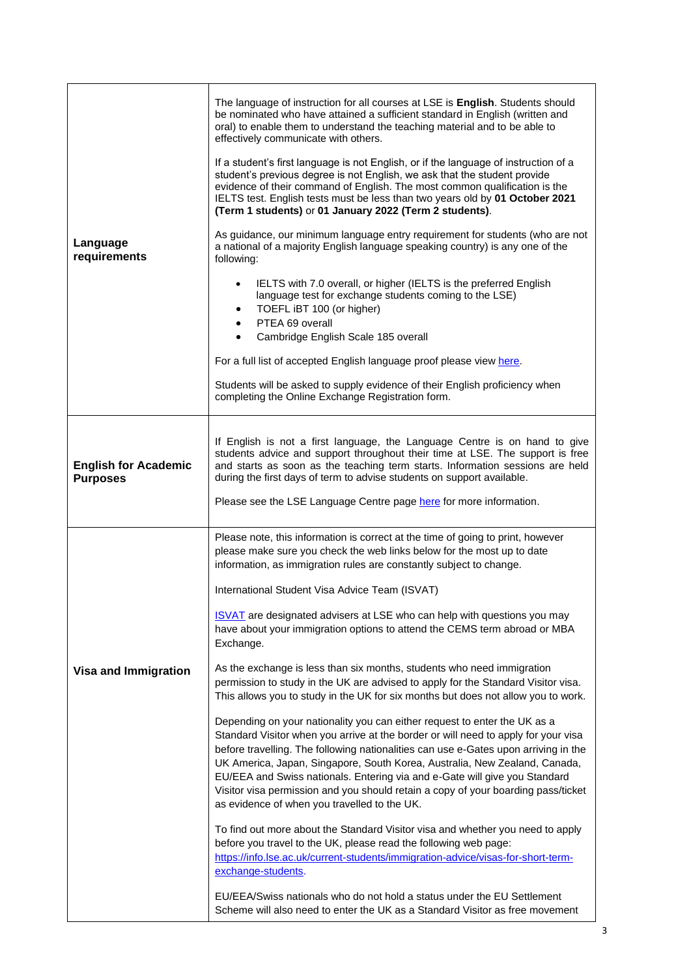| Language<br>requirements                       | The language of instruction for all courses at LSE is <b>English</b> . Students should<br>be nominated who have attained a sufficient standard in English (written and<br>oral) to enable them to understand the teaching material and to be able to<br>effectively communicate with others.<br>If a student's first language is not English, or if the language of instruction of a<br>student's previous degree is not English, we ask that the student provide<br>evidence of their command of English. The most common qualification is the<br>IELTS test. English tests must be less than two years old by 01 October 2021<br>(Term 1 students) or 01 January 2022 (Term 2 students).<br>As guidance, our minimum language entry requirement for students (who are not<br>a national of a majority English language speaking country) is any one of the<br>following:<br>IELTS with 7.0 overall, or higher (IELTS is the preferred English<br>$\bullet$<br>language test for exchange students coming to the LSE)<br>TOEFL iBT 100 (or higher)<br>$\bullet$<br>PTEA 69 overall<br>$\bullet$<br>Cambridge English Scale 185 overall<br>$\bullet$<br>For a full list of accepted English language proof please view here.<br>Students will be asked to supply evidence of their English proficiency when<br>completing the Online Exchange Registration form. |
|------------------------------------------------|------------------------------------------------------------------------------------------------------------------------------------------------------------------------------------------------------------------------------------------------------------------------------------------------------------------------------------------------------------------------------------------------------------------------------------------------------------------------------------------------------------------------------------------------------------------------------------------------------------------------------------------------------------------------------------------------------------------------------------------------------------------------------------------------------------------------------------------------------------------------------------------------------------------------------------------------------------------------------------------------------------------------------------------------------------------------------------------------------------------------------------------------------------------------------------------------------------------------------------------------------------------------------------------------------------------------------------------------------------------|
|                                                |                                                                                                                                                                                                                                                                                                                                                                                                                                                                                                                                                                                                                                                                                                                                                                                                                                                                                                                                                                                                                                                                                                                                                                                                                                                                                                                                                                  |
| <b>English for Academic</b><br><b>Purposes</b> | If English is not a first language, the Language Centre is on hand to give<br>students advice and support throughout their time at LSE. The support is free<br>and starts as soon as the teaching term starts. Information sessions are held<br>during the first days of term to advise students on support available.<br>Please see the LSE Language Centre page here for more information.                                                                                                                                                                                                                                                                                                                                                                                                                                                                                                                                                                                                                                                                                                                                                                                                                                                                                                                                                                     |
|                                                | Please note, this information is correct at the time of going to print, however<br>please make sure you check the web links below for the most up to date<br>information, as immigration rules are constantly subject to change.                                                                                                                                                                                                                                                                                                                                                                                                                                                                                                                                                                                                                                                                                                                                                                                                                                                                                                                                                                                                                                                                                                                                 |
|                                                | International Student Visa Advice Team (ISVAT)                                                                                                                                                                                                                                                                                                                                                                                                                                                                                                                                                                                                                                                                                                                                                                                                                                                                                                                                                                                                                                                                                                                                                                                                                                                                                                                   |
|                                                | <b>ISVAT</b> are designated advisers at LSE who can help with questions you may<br>have about your immigration options to attend the CEMS term abroad or MBA<br>Exchange.                                                                                                                                                                                                                                                                                                                                                                                                                                                                                                                                                                                                                                                                                                                                                                                                                                                                                                                                                                                                                                                                                                                                                                                        |
| <b>Visa and Immigration</b>                    | As the exchange is less than six months, students who need immigration<br>permission to study in the UK are advised to apply for the Standard Visitor visa.<br>This allows you to study in the UK for six months but does not allow you to work.                                                                                                                                                                                                                                                                                                                                                                                                                                                                                                                                                                                                                                                                                                                                                                                                                                                                                                                                                                                                                                                                                                                 |
|                                                | Depending on your nationality you can either request to enter the UK as a<br>Standard Visitor when you arrive at the border or will need to apply for your visa<br>before travelling. The following nationalities can use e-Gates upon arriving in the<br>UK America, Japan, Singapore, South Korea, Australia, New Zealand, Canada,<br>EU/EEA and Swiss nationals. Entering via and e-Gate will give you Standard<br>Visitor visa permission and you should retain a copy of your boarding pass/ticket<br>as evidence of when you travelled to the UK.                                                                                                                                                                                                                                                                                                                                                                                                                                                                                                                                                                                                                                                                                                                                                                                                          |
|                                                | To find out more about the Standard Visitor visa and whether you need to apply<br>before you travel to the UK, please read the following web page:<br>https://info.lse.ac.uk/current-students/immigration-advice/visas-for-short-term-<br>exchange-students.                                                                                                                                                                                                                                                                                                                                                                                                                                                                                                                                                                                                                                                                                                                                                                                                                                                                                                                                                                                                                                                                                                     |
|                                                | EU/EEA/Swiss nationals who do not hold a status under the EU Settlement<br>Scheme will also need to enter the UK as a Standard Visitor as free movement                                                                                                                                                                                                                                                                                                                                                                                                                                                                                                                                                                                                                                                                                                                                                                                                                                                                                                                                                                                                                                                                                                                                                                                                          |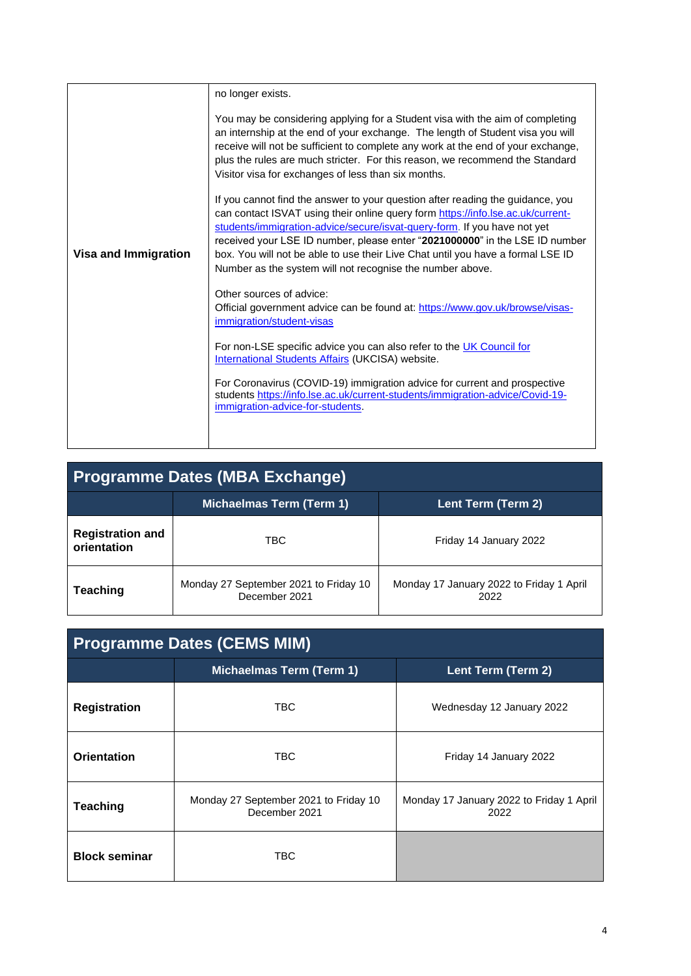|                             | no longer exists.                                                                                                                                                                                                                                                                                                                                                                                                                                                            |
|-----------------------------|------------------------------------------------------------------------------------------------------------------------------------------------------------------------------------------------------------------------------------------------------------------------------------------------------------------------------------------------------------------------------------------------------------------------------------------------------------------------------|
|                             | You may be considering applying for a Student visa with the aim of completing<br>an internship at the end of your exchange. The length of Student visa you will<br>receive will not be sufficient to complete any work at the end of your exchange,<br>plus the rules are much stricter. For this reason, we recommend the Standard<br>Visitor visa for exchanges of less than six months.                                                                                   |
| <b>Visa and Immigration</b> | If you cannot find the answer to your question after reading the guidance, you<br>can contact ISVAT using their online query form https://info.lse.ac.uk/current-<br>students/immigration-advice/secure/isvat-query-form. If you have not yet<br>received your LSE ID number, please enter "2021000000" in the LSE ID number<br>box. You will not be able to use their Live Chat until you have a formal LSE ID<br>Number as the system will not recognise the number above. |
|                             | Other sources of advice:<br>Official government advice can be found at: https://www.gov.uk/browse/visas-<br>immigration/student-visas<br>For non-LSE specific advice you can also refer to the UK Council for<br>International Students Affairs (UKCISA) website.                                                                                                                                                                                                            |
|                             | For Coronavirus (COVID-19) immigration advice for current and prospective<br>students https://info.lse.ac.uk/current-students/immigration-advice/Covid-19-<br>immigration-advice-for-students.                                                                                                                                                                                                                                                                               |

| <b>Programme Dates (MBA Exchange)</b>  |                                                        |                                                  |
|----------------------------------------|--------------------------------------------------------|--------------------------------------------------|
|                                        | <b>Michaelmas Term (Term 1)</b>                        | Lent Term (Term 2)                               |
| <b>Registration and</b><br>orientation | TBC                                                    | Friday 14 January 2022                           |
| <b>Teaching</b>                        | Monday 27 September 2021 to Friday 10<br>December 2021 | Monday 17 January 2022 to Friday 1 April<br>2022 |

| <b>Programme Dates (CEMS MIM)</b> |                                                        |                                                  |
|-----------------------------------|--------------------------------------------------------|--------------------------------------------------|
|                                   | <b>Michaelmas Term (Term 1)</b>                        | Lent Term (Term 2)                               |
| <b>Registration</b>               | <b>TBC</b>                                             | Wednesday 12 January 2022                        |
| <b>Orientation</b>                | <b>TBC</b>                                             | Friday 14 January 2022                           |
| <b>Teaching</b>                   | Monday 27 September 2021 to Friday 10<br>December 2021 | Monday 17 January 2022 to Friday 1 April<br>2022 |
| <b>Block seminar</b>              | TBC                                                    |                                                  |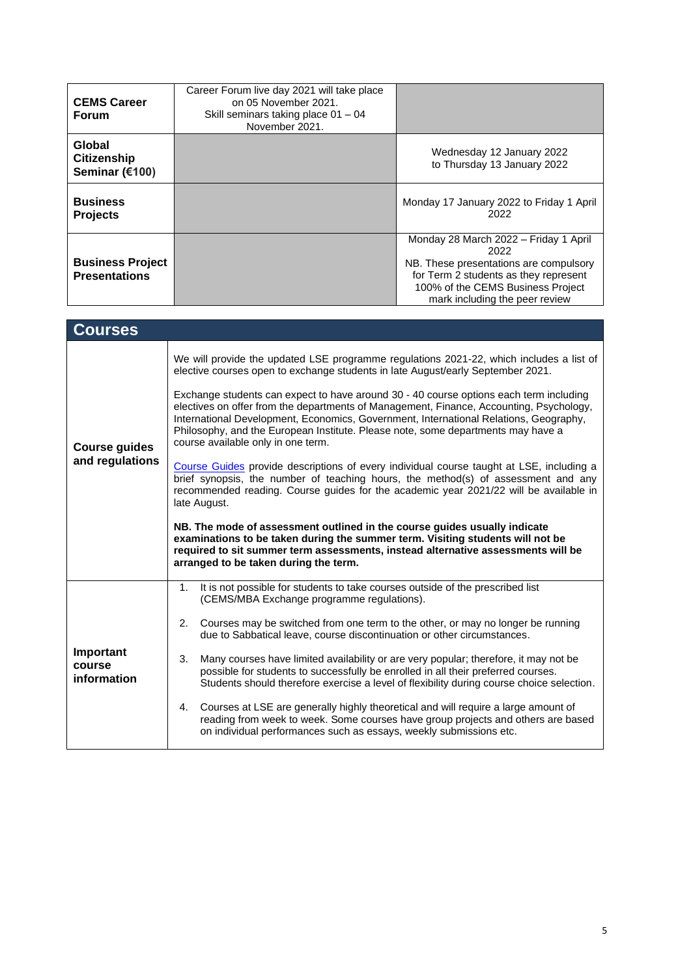| <b>CEMS Career</b><br><b>Forum</b>              | Career Forum live day 2021 will take place<br>on 05 November 2021.<br>Skill seminars taking place 01 - 04<br>November 2021.                                                                                                                                                                                |                                                                                                                                                                                                         |  |
|-------------------------------------------------|------------------------------------------------------------------------------------------------------------------------------------------------------------------------------------------------------------------------------------------------------------------------------------------------------------|---------------------------------------------------------------------------------------------------------------------------------------------------------------------------------------------------------|--|
| Global<br><b>Citizenship</b><br>Seminar (€100)  |                                                                                                                                                                                                                                                                                                            | Wednesday 12 January 2022<br>to Thursday 13 January 2022                                                                                                                                                |  |
| <b>Business</b><br><b>Projects</b>              |                                                                                                                                                                                                                                                                                                            | Monday 17 January 2022 to Friday 1 April<br>2022                                                                                                                                                        |  |
| <b>Business Project</b><br><b>Presentations</b> |                                                                                                                                                                                                                                                                                                            | Monday 28 March 2022 - Friday 1 April<br>2022<br>NB. These presentations are compulsory<br>for Term 2 students as they represent<br>100% of the CEMS Business Project<br>mark including the peer review |  |
| <b>Courses</b>                                  |                                                                                                                                                                                                                                                                                                            |                                                                                                                                                                                                         |  |
|                                                 | We will provide the updated LSE programme regulations 2021-22, which includes a list of<br>elective courses open to exchange students in late August/early September 2021.<br>Exchange students can expect to have around 30 - 40 course options each term including                                       |                                                                                                                                                                                                         |  |
| <b>Course guides</b><br>and regulations         | electives on offer from the departments of Management, Finance, Accounting, Psychology,<br>International Development, Economics, Government, International Relations, Geography,<br>Philosophy, and the European Institute. Please note, some departments may have a<br>course available only in one term. |                                                                                                                                                                                                         |  |
|                                                 | Course Guides provide descriptions of every individual course taught at LSE, including a<br>brief synopsis, the number of teaching hours, the method(s) of assessment and any<br>recommended reading. Course guides for the academic year 2021/22 will be available in<br>late August.                     |                                                                                                                                                                                                         |  |
|                                                 | NB. The mode of assessment outlined in the course guides usually indicate<br>examinations to be taken during the summer term. Visiting students will not be<br>required to sit summer term assessments, instead alternative assessments will be<br>arranged to be taken during the term.                   |                                                                                                                                                                                                         |  |
|                                                 | It is not possible for students to take courses outside of the prescribed list<br>1.<br>(CEMS/MBA Exchange programme regulations).                                                                                                                                                                         |                                                                                                                                                                                                         |  |
|                                                 | 2.<br>Courses may be switched from one term to the other, or may no longer be running<br>due to Sabbatical leave, course discontinuation or other circumstances.                                                                                                                                           |                                                                                                                                                                                                         |  |
| Important<br>course<br>information              | 3.<br>Many courses have limited availability or are very popular; therefore, it may not be<br>possible for students to successfully be enrolled in all their preferred courses.<br>Students should therefore exercise a level of flexibility during course choice selection.                               |                                                                                                                                                                                                         |  |
|                                                 | Courses at LSE are generally highly theoretical and will require a large amount of<br>4.<br>on individual performances such as essays, weekly submissions etc.                                                                                                                                             | reading from week to week. Some courses have group projects and others are based                                                                                                                        |  |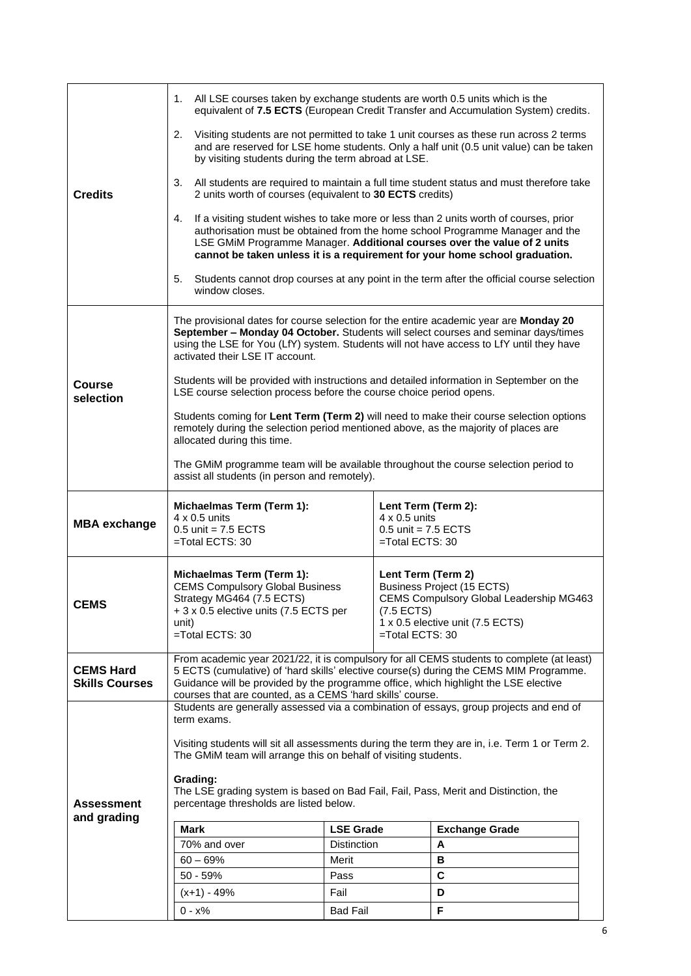|                                           | All LSE courses taken by exchange students are worth 0.5 units which is the<br>1.                                                                                                                                                                                                                                              |                    |                                                                  | equivalent of 7.5 ECTS (European Credit Transfer and Accumulation System) credits.                                                                                                                                                                                                                                                 |  |
|-------------------------------------------|--------------------------------------------------------------------------------------------------------------------------------------------------------------------------------------------------------------------------------------------------------------------------------------------------------------------------------|--------------------|------------------------------------------------------------------|------------------------------------------------------------------------------------------------------------------------------------------------------------------------------------------------------------------------------------------------------------------------------------------------------------------------------------|--|
|                                           | 2.<br>by visiting students during the term abroad at LSE.                                                                                                                                                                                                                                                                      |                    |                                                                  | Visiting students are not permitted to take 1 unit courses as these run across 2 terms<br>and are reserved for LSE home students. Only a half unit (0.5 unit value) can be taken                                                                                                                                                   |  |
| <b>Credits</b>                            | 3.<br>2 units worth of courses (equivalent to 30 ECTS credits)                                                                                                                                                                                                                                                                 |                    |                                                                  | All students are required to maintain a full time student status and must therefore take                                                                                                                                                                                                                                           |  |
|                                           | 4.                                                                                                                                                                                                                                                                                                                             |                    |                                                                  | If a visiting student wishes to take more or less than 2 units worth of courses, prior<br>authorisation must be obtained from the home school Programme Manager and the<br>LSE GMiM Programme Manager. Additional courses over the value of 2 units<br>cannot be taken unless it is a requirement for your home school graduation. |  |
|                                           | 5.<br>window closes.                                                                                                                                                                                                                                                                                                           |                    |                                                                  | Students cannot drop courses at any point in the term after the official course selection                                                                                                                                                                                                                                          |  |
|                                           | The provisional dates for course selection for the entire academic year are Monday 20<br>September - Monday 04 October. Students will select courses and seminar days/times<br>using the LSE for You (LfY) system. Students will not have access to LfY until they have<br>activated their LSE IT account.                     |                    |                                                                  |                                                                                                                                                                                                                                                                                                                                    |  |
| <b>Course</b><br>selection                | Students will be provided with instructions and detailed information in September on the<br>LSE course selection process before the course choice period opens.                                                                                                                                                                |                    |                                                                  |                                                                                                                                                                                                                                                                                                                                    |  |
|                                           | Students coming for Lent Term (Term 2) will need to make their course selection options<br>remotely during the selection period mentioned above, as the majority of places are<br>allocated during this time.                                                                                                                  |                    |                                                                  |                                                                                                                                                                                                                                                                                                                                    |  |
|                                           | The GMiM programme team will be available throughout the course selection period to<br>assist all students (in person and remotely).                                                                                                                                                                                           |                    |                                                                  |                                                                                                                                                                                                                                                                                                                                    |  |
|                                           | Michaelmas Term (Term 1):                                                                                                                                                                                                                                                                                                      |                    | Lent Term (Term 2):                                              |                                                                                                                                                                                                                                                                                                                                    |  |
|                                           |                                                                                                                                                                                                                                                                                                                                |                    |                                                                  |                                                                                                                                                                                                                                                                                                                                    |  |
| <b>MBA</b> exchange                       | $4 \times 0.5$ units<br>$0.5$ unit = 7.5 ECTS<br>=Total ECTS: 30                                                                                                                                                                                                                                                               |                    | $4 \times 0.5$ units<br>$0.5$ unit = 7.5 ECTS<br>=Total ECTS: 30 |                                                                                                                                                                                                                                                                                                                                    |  |
| <b>CEMS</b>                               | Michaelmas Term (Term 1):<br><b>CEMS Compulsory Global Business</b><br>Strategy MG464 (7.5 ECTS)<br>+ 3 x 0.5 elective units (7.5 ECTS per<br>unit)<br>$=$ Total ECTS: 30                                                                                                                                                      |                    | Lent Term (Term 2)<br>$(7.5$ ECTS)<br>$=$ Total ECTS: 30         | <b>Business Project (15 ECTS)</b><br>CEMS Compulsory Global Leadership MG463<br>1 x 0.5 elective unit (7.5 ECTS)                                                                                                                                                                                                                   |  |
| <b>CEMS Hard</b><br><b>Skills Courses</b> | From academic year 2021/22, it is compulsory for all CEMS students to complete (at least)<br>5 ECTS (cumulative) of 'hard skills' elective course(s) during the CEMS MIM Programme.<br>Guidance will be provided by the programme office, which highlight the LSE elective                                                     |                    |                                                                  |                                                                                                                                                                                                                                                                                                                                    |  |
|                                           | courses that are counted, as a CEMS 'hard skills' course.<br>Students are generally assessed via a combination of essays, group projects and end of                                                                                                                                                                            |                    |                                                                  |                                                                                                                                                                                                                                                                                                                                    |  |
| <b>Assessment</b>                         | term exams.<br>Visiting students will sit all assessments during the term they are in, i.e. Term 1 or Term 2.<br>The GMiM team will arrange this on behalf of visiting students.<br>Grading:<br>The LSE grading system is based on Bad Fail, Fail, Pass, Merit and Distinction, the<br>percentage thresholds are listed below. |                    |                                                                  |                                                                                                                                                                                                                                                                                                                                    |  |
| and grading                               | Mark                                                                                                                                                                                                                                                                                                                           | <b>LSE Grade</b>   |                                                                  | <b>Exchange Grade</b>                                                                                                                                                                                                                                                                                                              |  |
|                                           | 70% and over                                                                                                                                                                                                                                                                                                                   | <b>Distinction</b> |                                                                  | A                                                                                                                                                                                                                                                                                                                                  |  |
|                                           | $60 - 69%$                                                                                                                                                                                                                                                                                                                     | Merit              |                                                                  | В                                                                                                                                                                                                                                                                                                                                  |  |
|                                           | $50 - 59%$                                                                                                                                                                                                                                                                                                                     | Pass               |                                                                  | $\mathbf c$                                                                                                                                                                                                                                                                                                                        |  |
|                                           | $(x+1) - 49%$                                                                                                                                                                                                                                                                                                                  | Fail               |                                                                  | D                                                                                                                                                                                                                                                                                                                                  |  |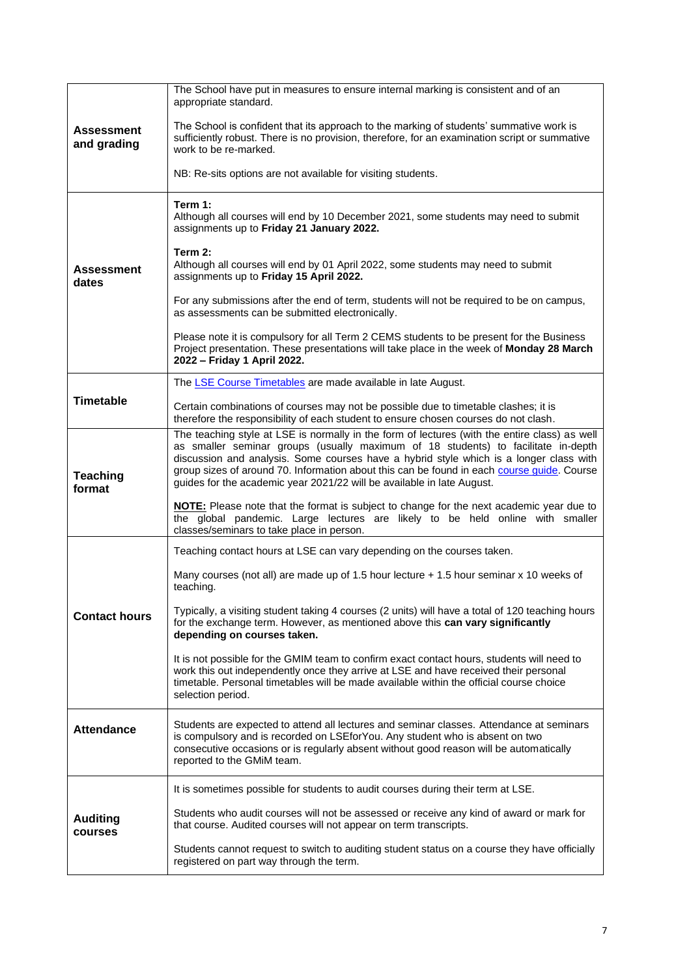|                                  | The School have put in measures to ensure internal marking is consistent and of an<br>appropriate standard.                                                                                                                                                                                                                                                                                                                                          |
|----------------------------------|------------------------------------------------------------------------------------------------------------------------------------------------------------------------------------------------------------------------------------------------------------------------------------------------------------------------------------------------------------------------------------------------------------------------------------------------------|
| <b>Assessment</b><br>and grading | The School is confident that its approach to the marking of students' summative work is<br>sufficiently robust. There is no provision, therefore, for an examination script or summative<br>work to be re-marked.                                                                                                                                                                                                                                    |
|                                  | NB: Re-sits options are not available for visiting students.                                                                                                                                                                                                                                                                                                                                                                                         |
|                                  | Term 1:<br>Although all courses will end by 10 December 2021, some students may need to submit<br>assignments up to Friday 21 January 2022.                                                                                                                                                                                                                                                                                                          |
| <b>Assessment</b><br>dates       | Term 2:<br>Although all courses will end by 01 April 2022, some students may need to submit<br>assignments up to Friday 15 April 2022.                                                                                                                                                                                                                                                                                                               |
|                                  | For any submissions after the end of term, students will not be required to be on campus,<br>as assessments can be submitted electronically.                                                                                                                                                                                                                                                                                                         |
|                                  | Please note it is compulsory for all Term 2 CEMS students to be present for the Business<br>Project presentation. These presentations will take place in the week of Monday 28 March<br>2022 - Friday 1 April 2022.                                                                                                                                                                                                                                  |
|                                  | The LSE Course Timetables are made available in late August.                                                                                                                                                                                                                                                                                                                                                                                         |
| <b>Timetable</b>                 | Certain combinations of courses may not be possible due to timetable clashes; it is<br>therefore the responsibility of each student to ensure chosen courses do not clash.                                                                                                                                                                                                                                                                           |
| <b>Teaching</b><br>format        | The teaching style at LSE is normally in the form of lectures (with the entire class) as well<br>as smaller seminar groups (usually maximum of 18 students) to facilitate in-depth<br>discussion and analysis. Some courses have a hybrid style which is a longer class with<br>group sizes of around 70. Information about this can be found in each course quide. Course<br>guides for the academic year 2021/22 will be available in late August. |
|                                  | <b>NOTE:</b> Please note that the format is subject to change for the next academic year due to<br>the global pandemic. Large lectures are likely to be held online with smaller<br>classes/seminars to take place in person.                                                                                                                                                                                                                        |
|                                  | Teaching contact hours at LSE can vary depending on the courses taken.                                                                                                                                                                                                                                                                                                                                                                               |
|                                  | Many courses (not all) are made up of 1.5 hour lecture + 1.5 hour seminar x 10 weeks of<br>teaching.                                                                                                                                                                                                                                                                                                                                                 |
| <b>Contact hours</b>             | Typically, a visiting student taking 4 courses (2 units) will have a total of 120 teaching hours<br>for the exchange term. However, as mentioned above this can vary significantly<br>depending on courses taken.                                                                                                                                                                                                                                    |
|                                  | It is not possible for the GMIM team to confirm exact contact hours, students will need to<br>work this out independently once they arrive at LSE and have received their personal<br>timetable. Personal timetables will be made available within the official course choice<br>selection period.                                                                                                                                                   |
| <b>Attendance</b>                | Students are expected to attend all lectures and seminar classes. Attendance at seminars<br>is compulsory and is recorded on LSEforYou. Any student who is absent on two<br>consecutive occasions or is regularly absent without good reason will be automatically<br>reported to the GMiM team.                                                                                                                                                     |
|                                  | It is sometimes possible for students to audit courses during their term at LSE.                                                                                                                                                                                                                                                                                                                                                                     |
| <b>Auditing</b><br>courses       | Students who audit courses will not be assessed or receive any kind of award or mark for<br>that course. Audited courses will not appear on term transcripts.                                                                                                                                                                                                                                                                                        |
|                                  | Students cannot request to switch to auditing student status on a course they have officially<br>registered on part way through the term.                                                                                                                                                                                                                                                                                                            |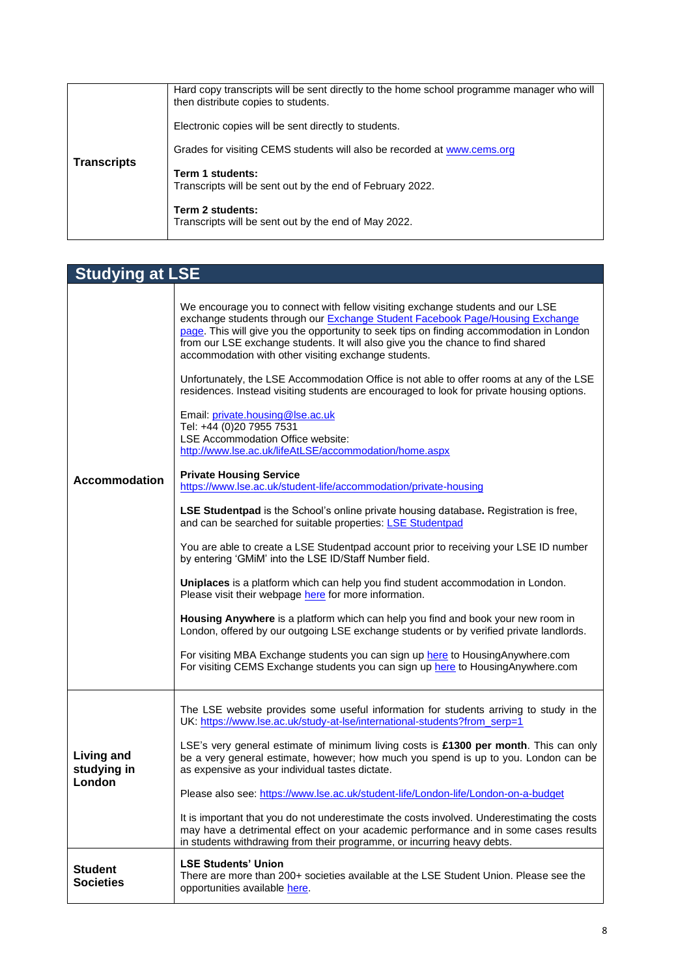|                                        | Hard copy transcripts will be sent directly to the home school programme manager who will<br>then distribute copies to students. |
|----------------------------------------|----------------------------------------------------------------------------------------------------------------------------------|
| <b>Transcripts</b><br>Term 1 students: | Electronic copies will be sent directly to students.                                                                             |
|                                        | Grades for visiting CEMS students will also be recorded at www.cems.org                                                          |
|                                        | Transcripts will be sent out by the end of February 2022.                                                                        |
|                                        | Term 2 students:<br>Transcripts will be sent out by the end of May 2022.                                                         |

| <b>Studying at LSE</b>                     |                                                                                                                                                                                                                                                                                                                                                                                                                                                                                                                                                                                                                                                                                                                                                                                                                                                                                                                                                                                                                                                                                                                                                                                                                                                                                                                                                                                                                                                                                                                                                                                                                                                                                    |
|--------------------------------------------|------------------------------------------------------------------------------------------------------------------------------------------------------------------------------------------------------------------------------------------------------------------------------------------------------------------------------------------------------------------------------------------------------------------------------------------------------------------------------------------------------------------------------------------------------------------------------------------------------------------------------------------------------------------------------------------------------------------------------------------------------------------------------------------------------------------------------------------------------------------------------------------------------------------------------------------------------------------------------------------------------------------------------------------------------------------------------------------------------------------------------------------------------------------------------------------------------------------------------------------------------------------------------------------------------------------------------------------------------------------------------------------------------------------------------------------------------------------------------------------------------------------------------------------------------------------------------------------------------------------------------------------------------------------------------------|
| <b>Accommodation</b>                       | We encourage you to connect with fellow visiting exchange students and our LSE<br>exchange students through our Exchange Student Facebook Page/Housing Exchange<br>page. This will give you the opportunity to seek tips on finding accommodation in London<br>from our LSE exchange students. It will also give you the chance to find shared<br>accommodation with other visiting exchange students.<br>Unfortunately, the LSE Accommodation Office is not able to offer rooms at any of the LSE<br>residences. Instead visiting students are encouraged to look for private housing options.<br>Email: private.housing@lse.ac.uk<br>Tel: +44 (0)20 7955 7531<br>LSE Accommodation Office website:<br>http://www.lse.ac.uk/lifeAtLSE/accommodation/home.aspx<br><b>Private Housing Service</b><br>https://www.lse.ac.uk/student-life/accommodation/private-housing<br>LSE Studentpad is the School's online private housing database. Registration is free,<br>and can be searched for suitable properties: LSE Studentpad<br>You are able to create a LSE Studentpad account prior to receiving your LSE ID number<br>by entering 'GMiM' into the LSE ID/Staff Number field.<br>Uniplaces is a platform which can help you find student accommodation in London.<br>Please visit their webpage here for more information.<br>Housing Anywhere is a platform which can help you find and book your new room in<br>London, offered by our outgoing LSE exchange students or by verified private landlords.<br>For visiting MBA Exchange students you can sign up here to Housing Anywhere.com<br>For visiting CEMS Exchange students you can sign up here to Housing Anywhere.com |
| <b>Living and</b><br>studying in<br>London | The LSE website provides some useful information for students arriving to study in the<br>UK: https://www.lse.ac.uk/study-at-lse/international-students?from_serp=1<br>LSE's very general estimate of minimum living costs is £1300 per month. This can only<br>be a very general estimate, however; how much you spend is up to you. London can be<br>as expensive as your individual tastes dictate.<br>Please also see: https://www.lse.ac.uk/student-life/London-life/London-on-a-budget<br>It is important that you do not underestimate the costs involved. Underestimating the costs<br>may have a detrimental effect on your academic performance and in some cases results<br>in students withdrawing from their programme, or incurring heavy debts.                                                                                                                                                                                                                                                                                                                                                                                                                                                                                                                                                                                                                                                                                                                                                                                                                                                                                                                     |
| <b>Student</b><br><b>Societies</b>         | <b>LSE Students' Union</b><br>There are more than 200+ societies available at the LSE Student Union. Please see the<br>opportunities available here.                                                                                                                                                                                                                                                                                                                                                                                                                                                                                                                                                                                                                                                                                                                                                                                                                                                                                                                                                                                                                                                                                                                                                                                                                                                                                                                                                                                                                                                                                                                               |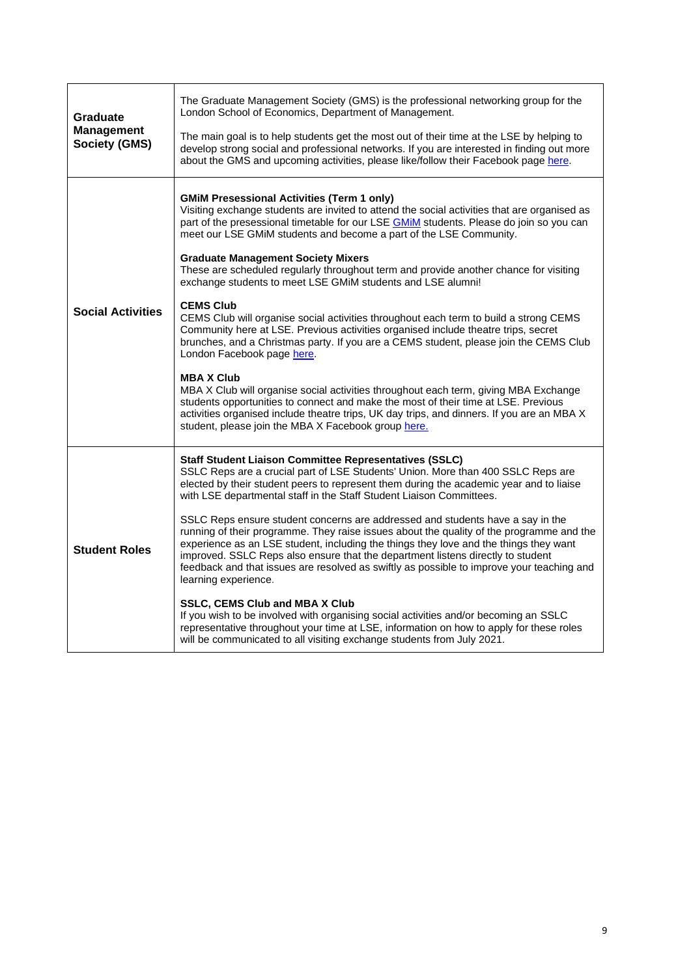| Graduate                                  | The Graduate Management Society (GMS) is the professional networking group for the<br>London School of Economics, Department of Management.                                                                                                                                                                                                                                                                                                                                 |
|-------------------------------------------|-----------------------------------------------------------------------------------------------------------------------------------------------------------------------------------------------------------------------------------------------------------------------------------------------------------------------------------------------------------------------------------------------------------------------------------------------------------------------------|
| <b>Management</b><br><b>Society (GMS)</b> | The main goal is to help students get the most out of their time at the LSE by helping to<br>develop strong social and professional networks. If you are interested in finding out more<br>about the GMS and upcoming activities, please like/follow their Facebook page here.                                                                                                                                                                                              |
|                                           | <b>GMIM Presessional Activities (Term 1 only)</b><br>Visiting exchange students are invited to attend the social activities that are organised as<br>part of the presessional timetable for our LSE <b>GMIM</b> students. Please do join so you can<br>meet our LSE GMiM students and become a part of the LSE Community.                                                                                                                                                   |
|                                           | <b>Graduate Management Society Mixers</b><br>These are scheduled regularly throughout term and provide another chance for visiting<br>exchange students to meet LSE GMiM students and LSE alumni!                                                                                                                                                                                                                                                                           |
| <b>Social Activities</b>                  | <b>CEMS Club</b><br>CEMS Club will organise social activities throughout each term to build a strong CEMS<br>Community here at LSE. Previous activities organised include theatre trips, secret<br>brunches, and a Christmas party. If you are a CEMS student, please join the CEMS Club<br>London Facebook page here.                                                                                                                                                      |
|                                           | <b>MBAX Club</b><br>MBA X Club will organise social activities throughout each term, giving MBA Exchange<br>students opportunities to connect and make the most of their time at LSE. Previous<br>activities organised include theatre trips, UK day trips, and dinners. If you are an MBA X<br>student, please join the MBA X Facebook group here.                                                                                                                         |
|                                           | <b>Staff Student Liaison Committee Representatives (SSLC)</b><br>SSLC Reps are a crucial part of LSE Students' Union. More than 400 SSLC Reps are<br>elected by their student peers to represent them during the academic year and to liaise<br>with LSE departmental staff in the Staff Student Liaison Committees.                                                                                                                                                        |
| <b>Student Roles</b>                      | SSLC Reps ensure student concerns are addressed and students have a say in the<br>running of their programme. They raise issues about the quality of the programme and the<br>experience as an LSE student, including the things they love and the things they want<br>improved. SSLC Reps also ensure that the department listens directly to student<br>feedback and that issues are resolved as swiftly as possible to improve your teaching and<br>learning experience. |
|                                           | <b>SSLC, CEMS Club and MBA X Club</b><br>If you wish to be involved with organising social activities and/or becoming an SSLC<br>representative throughout your time at LSE, information on how to apply for these roles<br>will be communicated to all visiting exchange students from July 2021.                                                                                                                                                                          |